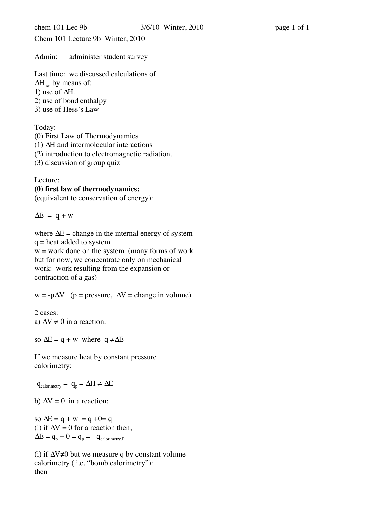Chem 101 Lecture 9b Winter, 2010

Admin: administer student survey

Last time: we discussed calculations of  $\Delta H_{rxn}$  by means of: 1) use of  $\Delta H_f^{\circ}$ 2) use of bond enthalpy 3) use of Hess's Law

Today:

(0) First Law of Thermodynamics (1) ∆H and intermolecular interactions (2) introduction to electromagnetic radiation. (3) discussion of group quiz

Lecture:

## **(0) first law of thermodynamics:**

(equivalent to conservation of energy):

 $\Delta E = q + w$ 

where  $\Delta E$  = change in the internal energy of system  $q =$  heat added to system  $w =$  work done on the system (many forms of work but for now, we concentrate only on mechanical work: work resulting from the expansion or contraction of a gas)

 $w = -p\Delta V$  (p = pressure,  $\Delta V$  = change in volume)

2 cases: a)  $\Delta V \neq 0$  in a reaction:

so  $\Delta E = q + w$  where  $q \neq \Delta E$ 

If we measure heat by constant pressure calorimetry:

 $-q_{calorimetry} = q_p = \Delta H \neq \Delta E$ 

b)  $\Delta V = 0$  in a reaction:

so  $\Delta E = q + w = q + 0 = q$ (i) if  $\Delta V = 0$  for a reaction then,  $\Delta E = q_p + 0 = q_p = -q_{\text{calorimetry},P}$ 

(i) if ∆V≠0 but we measure q by constant volume calorimetry ( i.e. "bomb calorimetry"): then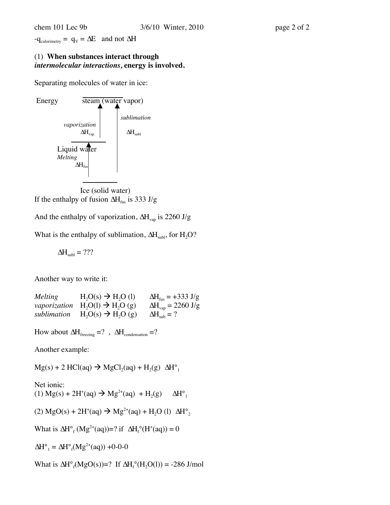$-q_{calorimetry} = q_V = \Delta E$  and not  $\Delta H$ 

## (1) **When substances interact through**  *intermolecular interactions,* **energy is involved.**

Separating molecules of water in ice:



Ice (solid water) If the enthalpy of fusion  $\Delta H_{fus}$  is 333 J/g

And the enthalpy of vaporization,  $\Delta H_{\text{van}}$  is 2260 J/g

What is the enthalpy of sublimation,  $\Delta H_{sub}$ , for  $H_2O$ ?

 $\Delta H_{subl} = ???$ 

Another way to write it:

| Melting      | $H2O(s) \rightarrow H2O(l)$   | $\Delta H_{\rm fus} = +333 \text{ J/g}$    |
|--------------|-------------------------------|--------------------------------------------|
| vaporization | $H_2O(1) \rightarrow H_2O(g)$ | $\Delta H_{\text{vap}} = 2260 \text{ J/g}$ |
| sublimation  | $H_2O(s) \rightarrow H_2O(g)$ | $\Delta H_{sub} = ?$                       |

How about  $\Delta H_{\text{freezing}} = ?$ ,  $\Delta H_{\text{condensation}} = ?$ 

Another example:

 $Mg(s) + 2$  HCl(aq)  $\rightarrow$  MgCl<sub>2</sub>(aq) + H<sub>2</sub>(g)  $\Delta H^{\circ}$ <sub>1</sub>

Net ionic:

(1) Mg(s) + 2H<sup>+</sup>(aq) → Mg<sup>2+</sup>(aq) + H<sub>2</sub>(g)  $\Delta H^{\circ}$ <sub>1</sub>

(2) MgO(s) + 2H<sup>+</sup>(aq) 
$$
\rightarrow
$$
 Mg<sup>2+</sup>(aq) + H<sub>2</sub>O (l)  $\Delta H^{\circ}_{2}$ 

What is  $\Delta H^{\circ}$ <sub>f</sub> (Mg<sup>2+</sup>(aq))=? if  $\Delta H^{\circ}$ <sub>f</sub> (H<sup>+</sup>(aq)) = 0

 $\Delta H^{\circ}{}_{1} = \Delta H^{\circ}{}_{f}(Mg^{2+}(aq)) + 0-0-0$ 

What is  $\Delta H^{\circ}{}_{f}(MgO(s))=?$  If  $\Delta H^{\circ}{}_{f}(H_2O(l)) = -286$  J/mol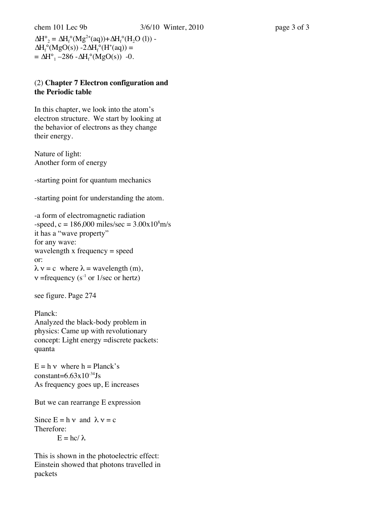$\Delta H^{\circ}{}_{2} = \Delta H_{f}^{\circ} (M g^{2+}(aq)) + \Delta H_{f}^{\circ} (H_{2}O (l)) \Delta H_f^{\circ}(MgO(s)) - 2\Delta H_f^{\circ}(H^+(aq)) =$  $= \Delta H^{\circ}_{1} - 286 - \Delta H_{f}^{\circ}(MgO(s))$  -0.

## (2) **Chapter 7 Electron configuration and the Periodic table**

In this chapter, we look into the atom's electron structure. We start by looking at the behavior of electrons as they change their energy.

Nature of light: Another form of energy

-starting point for quantum mechanics

-starting point for understanding the atom.

-a form of electromagnetic radiation  $-speed, c = 186,000 miles/sec = 3.00x10<sup>8</sup>m/s$ it has a "wave property" for any wave: wavelength x frequency = speed or:  $\lambda v = c$  where  $\lambda$  = wavelength (m),  $v$  =frequency (s<sup>-1</sup> or 1/sec or hertz)

see figure. Page 274

Planck: Analyzed the black-body problem in physics: Came up with revolutionary concept: Light energy =discrete packets: quanta

 $E = h v$  where  $h = Planck's$ constant= $6.63x10^{-34}$ Js As frequency goes up, E increases

But we can rearrange E expression

```
Since E = h v and \lambda v = cTherefore:
E = hc/\lambda
```
This is shown in the photoelectric effect: Einstein showed that photons travelled in packets